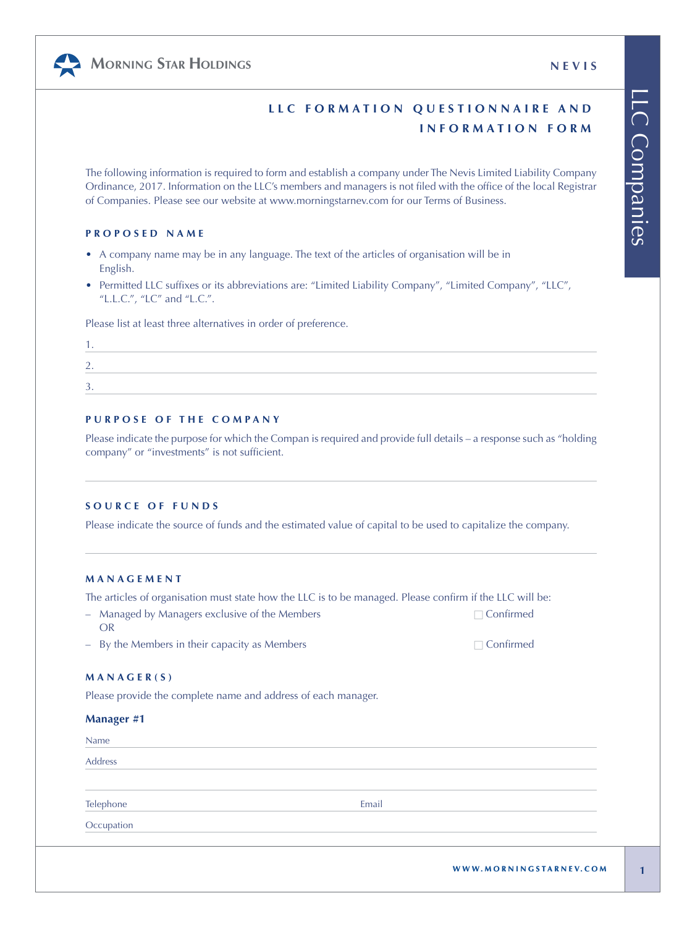# **MORNING STAR HOLDINGS NEVIS**



The following information is required to form and establish a company under The Nevis Limited Liability Company Ordinance, 2017. Information on the LLC's members and managers is not filed with the office of the local Registrar of Companies. Please see our website at www.morningstarnev.com for our Terms of Business.

# **PROPOSED NAME**

- A company name may be in any language. The text of the articles of organisation will be in English.
- Permitted LLC suffixes or its abbreviations are: "Limited Liability Company", "Limited Company", "LLC", "L.L.C.", "LC" and "L.C.".

Please list at least three alternatives in order of preference.

| <u>.</u> |  |  |
|----------|--|--|
|          |  |  |
|          |  |  |

# **PURPOSE OF THE COMPANY**

Please indicate the purpose for which the Compan is required and provide full details – a response such as "holding company" or "investments" is not sufficient.

## **SOURCE OF FUNDS**

Please indicate the source of funds and the estimated value of capital to be used to capitalize the company.

# **MANAGEMENT**

The articles of organisation must state how the LLC is to be managed. Please confirm if the LLC will be:

- Managed by Managers exclusive of the Members ☐ Confirmed OR
- $-$  By the Members in their capacity as Members  $□$

## **MANAGER(S)**

Please provide the complete name and address of each manager.

| Name       |       |  |
|------------|-------|--|
| Address    |       |  |
| Telephone  | Email |  |
| Occupation |       |  |

**1**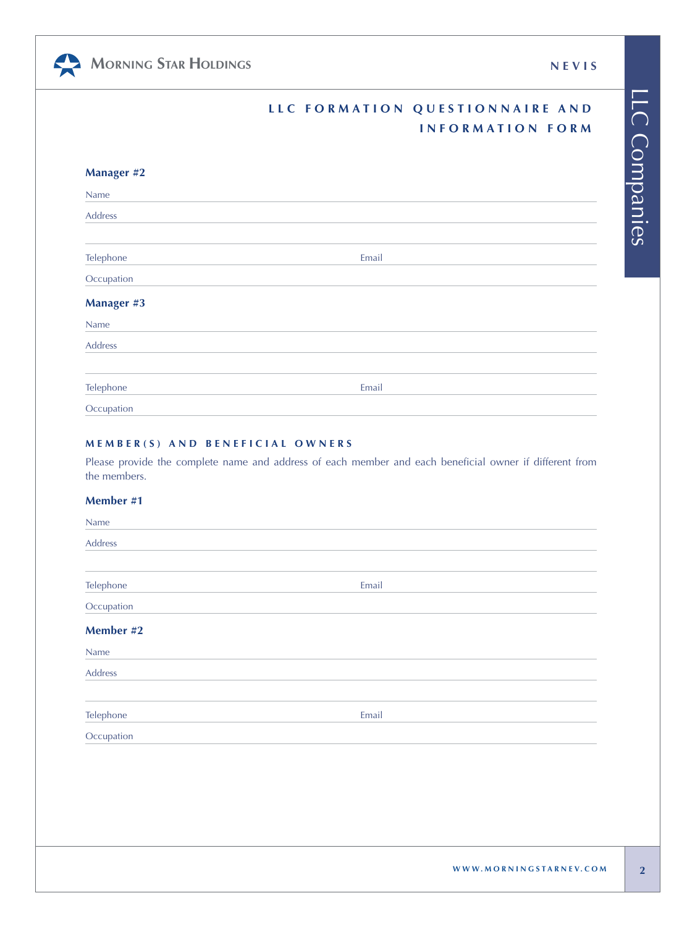LLC Companies

LLC Companies

| <b>MORNING STAR HOLDINGS</b> | <b>NEVIS</b> |
|------------------------------|--------------|
|------------------------------|--------------|

朵

| LLC FORMATION QUESTIONNAIRE AND |
|---------------------------------|
| INFORMATION FORM                |

| <b>Manager #2</b> |       |  |
|-------------------|-------|--|
| Name              |       |  |
| Address           |       |  |
|                   |       |  |
| Telephone         | Email |  |
| Occupation        |       |  |
| <b>Manager #3</b> |       |  |
| Name              |       |  |
| Address           |       |  |
| Telephone         | Email |  |
| Occupation        |       |  |

# **MEMBER(S) AND BENEFICIAL OWNERS**

Please provide the complete name and address of each member and each beneficial owner if different from the members.

# **Member #1**

| Name       |       |  |
|------------|-------|--|
| Address    |       |  |
|            |       |  |
| Telephone  | Email |  |
| Occupation |       |  |
| Member #2  |       |  |
| Name       |       |  |
| Address    |       |  |
|            |       |  |
| Telephone  | Email |  |
| Occupation |       |  |
|            |       |  |
|            |       |  |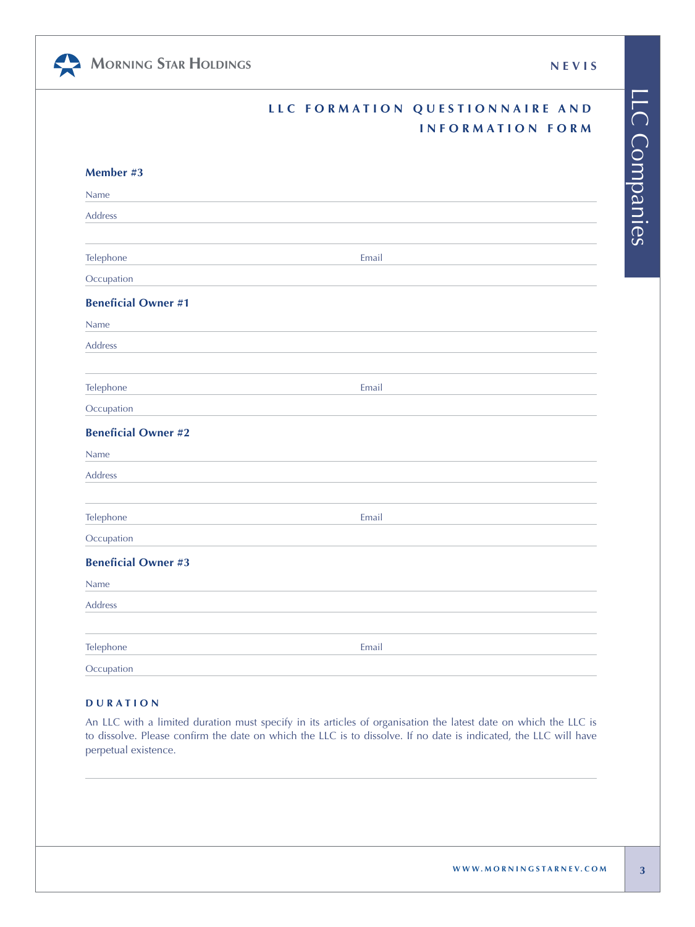LLC Companies

LLC Companies

| MORNING STAR HOLDINGS | <b>NEVIS</b> |
|-----------------------|--------------|
|-----------------------|--------------|

|  | LLC FORMATION QUESTIONNAIRE AND |  |
|--|---------------------------------|--|
|  | INFORMATION FORM                |  |

| Member #3                  |       |  |
|----------------------------|-------|--|
| Name                       |       |  |
| Address                    |       |  |
|                            |       |  |
| Telephone                  | Email |  |
| Occupation                 |       |  |
| <b>Beneficial Owner #1</b> |       |  |
| Name                       |       |  |
| Address                    |       |  |
|                            |       |  |
| Telephone                  | Email |  |
| Occupation                 |       |  |
| <b>Beneficial Owner #2</b> |       |  |
| Name                       |       |  |
| Address                    |       |  |
|                            |       |  |
| Telephone                  | Email |  |
| Occupation                 |       |  |
| <b>Beneficial Owner #3</b> |       |  |
| Name                       |       |  |
| Address                    |       |  |
|                            |       |  |
| Telephone                  | Email |  |
| Occupation                 |       |  |

# **DURATION**

An LLC with a limited duration must specify in its articles of organisation the latest date on which the LLC is to dissolve. Please confirm the date on which the LLC is to dissolve. If no date is indicated, the LLC will have perpetual existence.